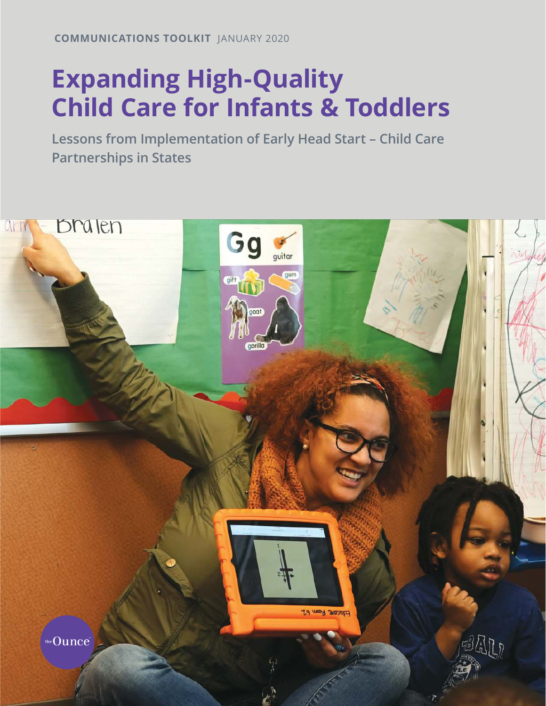**COMMUNICATIONS TOOLKIT** JANUARY 2020

## **Expanding High-Quality Child Care for Infants & Toddlers**

**Lessons from Implementation of Early Head Start – Child Care Partnerships in States**

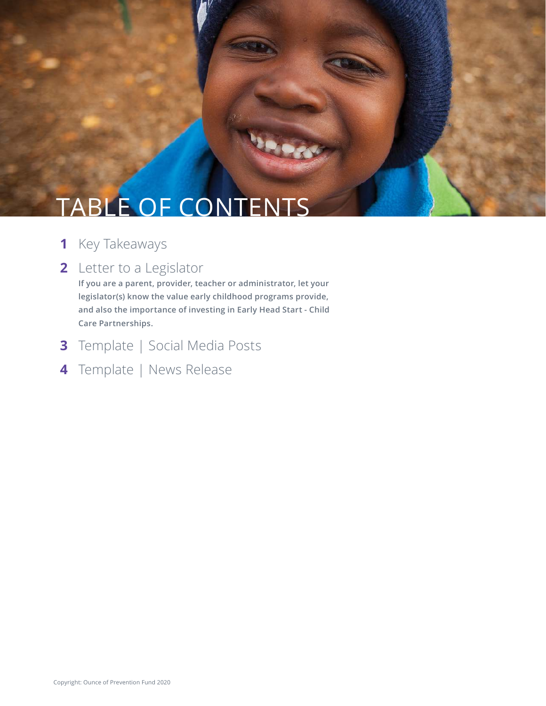# TABLE OF CONTENTS

- **1** Key Takeaways
- **2** Letter to a Legislator

 **If you are a parent, provider, teacher or administrator, let your legislator(s) know the value early childhood programs provide, and also the importance of investing in Early Head Start - Child Care Partnerships.** 

**VOIDS** 

- **3** Template | Social Media Posts
- **4** Template | News Release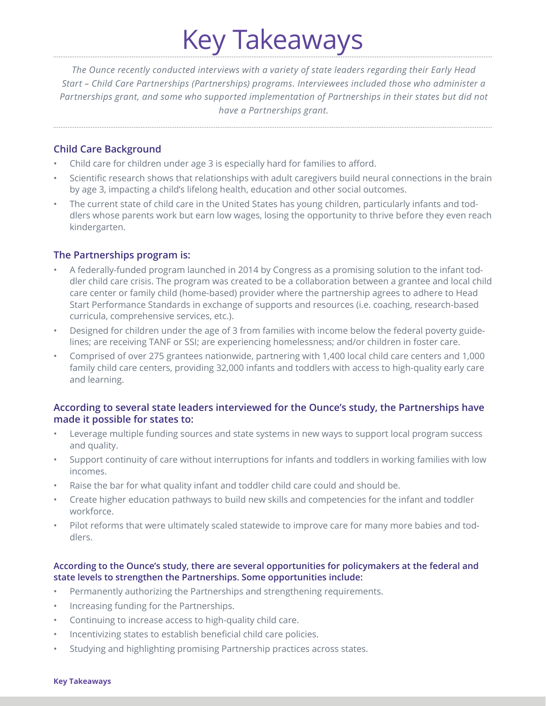# Key Takeaways

*The Ounce recently conducted interviews with a variety of state leaders regarding their Early Head Start – Child Care Partnerships (Partnerships) programs. Interviewees included those who administer a Partnerships grant, and some who supported implementation of Partnerships in their states but did not have a Partnerships grant.*

## **Child Care Background**

- Child care for children under age 3 is especially hard for families to afford.
- Scientific research shows that relationships with adult caregivers build neural connections in the brain by age 3, impacting a child's lifelong health, education and other social outcomes.
- The current state of child care in the United States has young children, particularly infants and toddlers whose parents work but earn low wages, losing the opportunity to thrive before they even reach kindergarten.

## **The Partnerships program is:**

- A federally-funded program launched in 2014 by Congress as a promising solution to the infant toddler child care crisis. The program was created to be a collaboration between a grantee and local child care center or family child (home-based) provider where the partnership agrees to adhere to Head Start Performance Standards in exchange of supports and resources (i.e. coaching, research-based curricula, comprehensive services, etc.).
- Designed for children under the age of 3 from families with income below the federal poverty guidelines; are receiving TANF or SSI; are experiencing homelessness; and/or children in foster care.
- Comprised of over 275 grantees nationwide, partnering with 1,400 local child care centers and 1,000 family child care centers, providing 32,000 infants and toddlers with access to high-quality early care and learning.

### **According to several state leaders interviewed for the Ounce's study, the Partnerships have made it possible for states to:**

- Leverage multiple funding sources and state systems in new ways to support local program success and quality.
- Support continuity of care without interruptions for infants and toddlers in working families with low incomes.
- Raise the bar for what quality infant and toddler child care could and should be.
- Create higher education pathways to build new skills and competencies for the infant and toddler workforce.
- Pilot reforms that were ultimately scaled statewide to improve care for many more babies and toddlers.

### **According to the Ounce's study, there are several opportunities for policymakers at the federal and state levels to strengthen the Partnerships. Some opportunities include:**

- Permanently authorizing the Partnerships and strengthening requirements.
- Increasing funding for the Partnerships.
- Continuing to increase access to high-quality child care.
- Incentivizing states to establish beneficial child care policies.
- Studying and highlighting promising Partnership practices across states.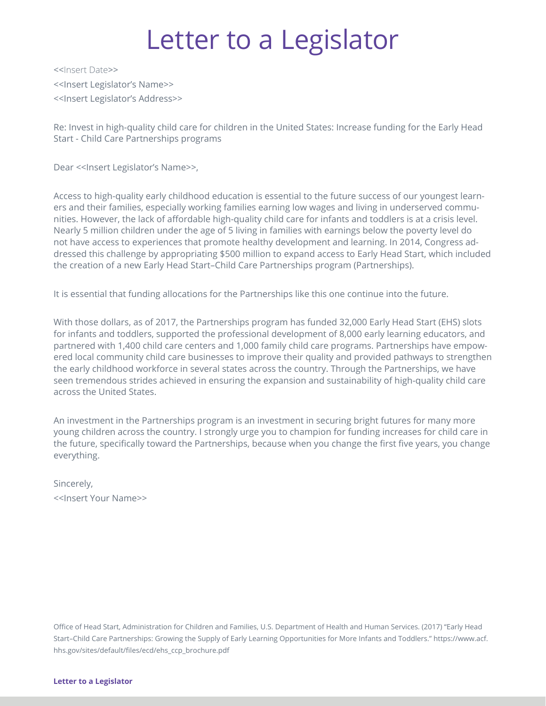## Letter to a Legislator

<<Insert Date>> <<Insert Legislator's Name>> <<Insert Legislator's Address>>

Re: Invest in high-quality child care for children in the United States: Increase funding for the Early Head Start - Child Care Partnerships programs

Dear << Insert Legislator's Name>>,

Access to high-quality early childhood education is essential to the future success of our youngest learners and their families, especially working families earning low wages and living in underserved communities. However, the lack of affordable high-quality child care for infants and toddlers is at a crisis level. Nearly 5 million children under the age of 5 living in families with earnings below the poverty level do not have access to experiences that promote healthy development and learning. In 2014, Congress addressed this challenge by appropriating \$500 million to expand access to Early Head Start, which included the creation of a new Early Head Start–Child Care Partnerships program (Partnerships).

It is essential that funding allocations for the Partnerships like this one continue into the future.

With those dollars, as of 2017, the Partnerships program has funded 32,000 Early Head Start (EHS) slots for infants and toddlers, supported the professional development of 8,000 early learning educators, and partnered with 1,400 child care centers and 1,000 family child care programs. Partnerships have empowered local community child care businesses to improve their quality and provided pathways to strengthen the early childhood workforce in several states across the country. Through the Partnerships, we have seen tremendous strides achieved in ensuring the expansion and sustainability of high-quality child care across the United States.

An investment in the Partnerships program is an investment in securing bright futures for many more young children across the country. I strongly urge you to champion for funding increases for child care in the future, specifically toward the Partnerships, because when you change the first five years, you change everything.

Sincerely, <<Insert Your Name>>

Office of Head Start, Administration for Children and Families, U.S. Department of Health and Human Services. (2017) "Early Head Start–Child Care Partnerships: Growing the Supply of Early Learning Opportunities for More Infants and Toddlers." https://www.acf. hhs.gov/sites/default/files/ecd/ehs\_ccp\_brochure.pdf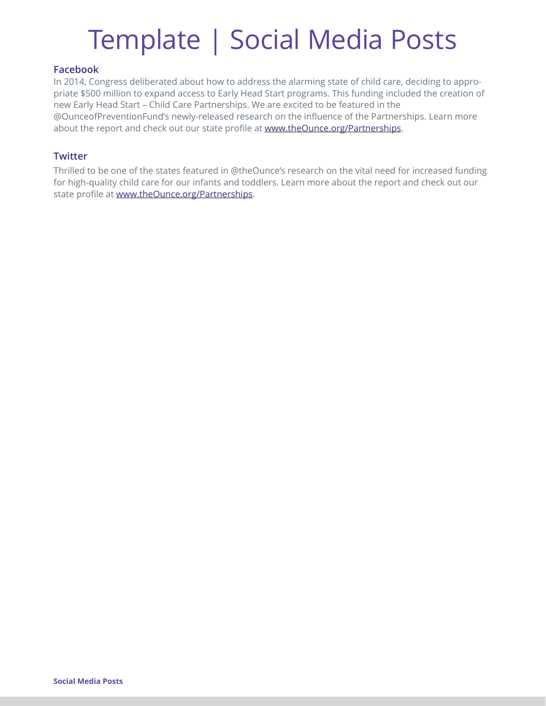# Template | Social Media Posts

### **Facebook**

In 2014, Congress deliberated about how to address the alarming state of child care, deciding to appropriate \$500 million to expand access to Early Head Start programs. This funding included the creation of new Early Head Start – Child Care Partnerships. We are excited to be featured in the @OunceofPreventionFund's newly-released research on the influence of the Partnerships. Learn more about the report and check out our state profile at [www.theOunce.org/Partnerships.](http://www.theOunce.org/Partnerships)

### **Twitter**

Thrilled to be one of the states featured in @theOunce's research on the vital need for increased funding for high-quality child care for our infants and toddlers. Learn more about the report and check out our state profile at [www.theOunce.org/Partnerships](http://www.theOunce.org/Partnerships).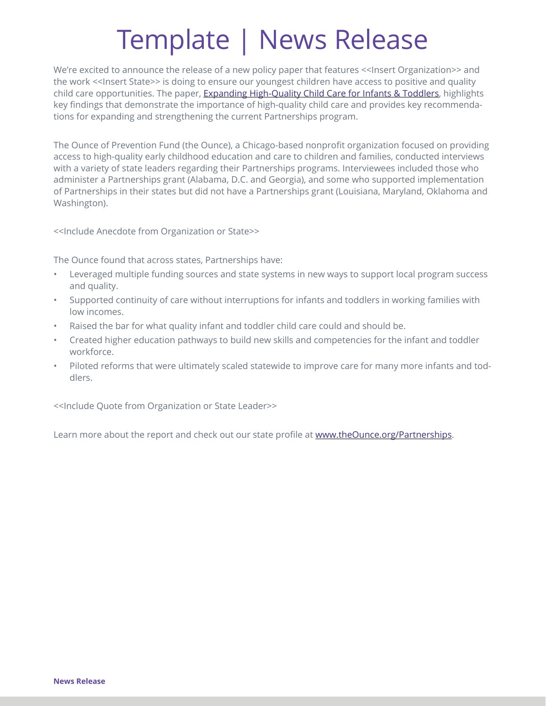# Template | News Release

We're excited to announce the release of a new policy paper that features << Insert Organization>> and the work <<Insert State>> is doing to ensure our youngest children have access to positive and quality child care opportunities. The paper, [Expanding High-Quality Child Care for Infants & Toddlers](http://www.theOunce.org/Partnerships), highlights key findings that demonstrate the importance of high-quality child care and provides key recommendations for expanding and strengthening the current Partnerships program.

The Ounce of Prevention Fund (the Ounce), a Chicago-based nonprofit organization focused on providing access to high-quality early childhood education and care to children and families, conducted interviews with a variety of state leaders regarding their Partnerships programs. Interviewees included those who administer a Partnerships grant (Alabama, D.C. and Georgia), and some who supported implementation of Partnerships in their states but did not have a Partnerships grant (Louisiana, Maryland, Oklahoma and Washington).

<<Include Anecdote from Organization or State>>

The Ounce found that across states, Partnerships have:

- Leveraged multiple funding sources and state systems in new ways to support local program success and quality.
- Supported continuity of care without interruptions for infants and toddlers in working families with low incomes.
- Raised the bar for what quality infant and toddler child care could and should be.
- Created higher education pathways to build new skills and competencies for the infant and toddler workforce.
- Piloted reforms that were ultimately scaled statewide to improve care for many more infants and toddlers.

<<Include Quote from Organization or State Leader>>

Learn more about the report and check out our state profile at [www.theOunce.org/Partnerships.](http://www.theOunce.org/Partnerships)